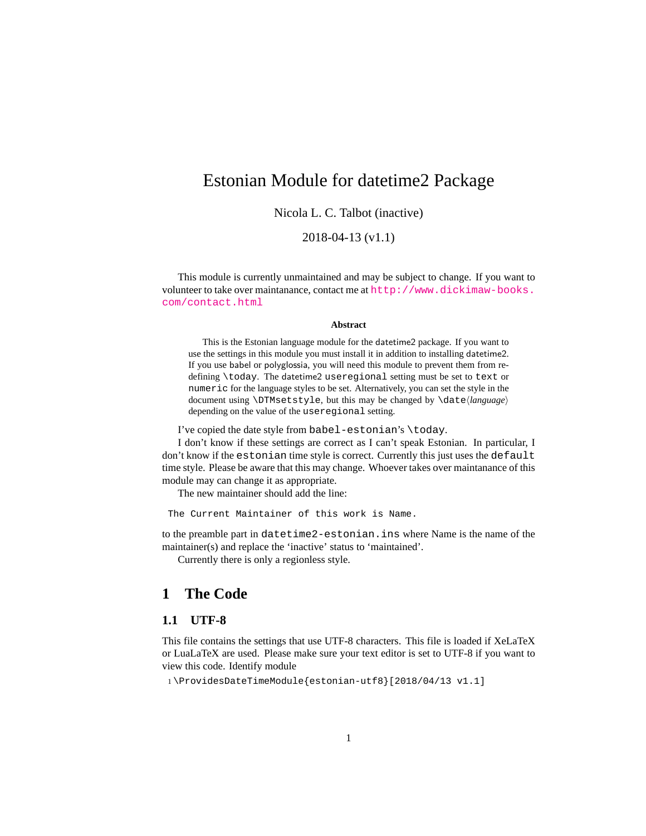### <span id="page-0-0"></span>Estonian Module for datetime2 Package

Nicola L. C. Talbot (inactive)

#### 2018-04-13 (v1.1)

This module is currently unmaintained and may be subject to change. If you want to volunteer to take over maintanance, contact me at [http://www.dickimaw-books.](http://www.dickimaw-books.com/contact.html) [com/contact.html](http://www.dickimaw-books.com/contact.html)

#### **Abstract**

This is the Estonian language module for the datetime2 package. If you want to use the settings in this module you must install it in addition to installing datetime2. If you use babel or polyglossia, you will need this module to prevent them from redefining \today. The datetime2 useregional setting must be set to text or numeric for the language styles to be set. Alternatively, you can set the style in the document using \DTMsetstyle, but this may be changed by \date*⟨language⟩* depending on the value of the useregional setting.

I've copied the date style from babel-estonian's \today.

I don't know if these settings are correct as I can't speak Estonian. In particular, I don't know if the estonian time style is correct. Currently this just uses the default time style. Please be aware that this may change. Whoever takes over maintanance of this module may can change it as appropriate.

The new maintainer should add the line:

The Current Maintainer of this work is Name.

to the preamble part in datetime2-estonian.ins where Name is the name of the maintainer(s) and replace the 'inactive' status to 'maintained'.

Currently there is only a regionless style.

### **1 The Code**

#### **1.1 UTF-8**

This file contains the settings that use UTF-8 characters. This file is loaded if XeLaTeX or LuaLaTeX are used. Please make sure your text editor is set to UTF-8 if you want to view this code. Identify module

1 \ProvidesDateTimeModule{estonian-utf8}[2018/04/13 v1.1]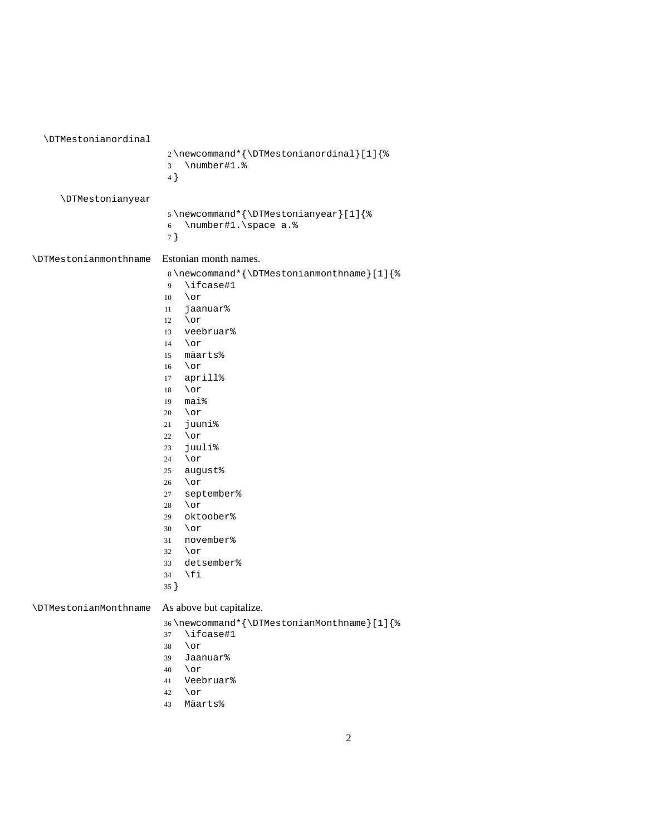<span id="page-1-0"></span>

| \DTMestonianordinal          |                                                                                                                                                                                                                                                                                                                                                                                                                                                                                             |
|------------------------------|---------------------------------------------------------------------------------------------------------------------------------------------------------------------------------------------------------------------------------------------------------------------------------------------------------------------------------------------------------------------------------------------------------------------------------------------------------------------------------------------|
|                              | 2\newcommand*{\DTMestonianordinal}[1]{%<br>\number#1.%<br>3<br>4}                                                                                                                                                                                                                                                                                                                                                                                                                           |
| <b>\DTMestonianyear</b>      | 5\newcommand*{\DTMestonianyear}[1]{%<br>\number#1.\space a.%<br>6<br>7 }                                                                                                                                                                                                                                                                                                                                                                                                                    |
| <b>\DTMestonianmonthname</b> | Estonian month names.<br>8\newcommand*{\DTMestonianmonthname}[1]{%<br>\ifcase#1<br>9<br>\or<br>10<br>jaanuar%<br>11<br>\or<br>12<br>veebruar%<br>13<br>\or<br>14<br>mäarts%<br>15<br>\or<br>16<br>aprill%<br>17<br>\or<br>18<br>mai%<br>19<br>\or<br>20<br>juuni%<br>21<br>\or<br>22<br>juuli%<br>23<br>\or<br>24<br>august%<br>25<br>\or<br>26<br>september%<br>27<br>\or<br>28<br>oktoober%<br>29<br>\or<br>30<br>november%<br>31<br>\or<br>32<br>detsember%<br>33<br>\fi<br>34<br>$35$ } |
| <b>\DTMestonianMonthname</b> | As above but capitalize.<br>36\newcommand*{\DTMestonianMonthname}[1]{%<br>\ifcase#1<br>37<br>\or<br>38<br>Jaanuar%<br>39                                                                                                                                                                                                                                                                                                                                                                    |

- \or
- Veebruar% \or
- Mäarts%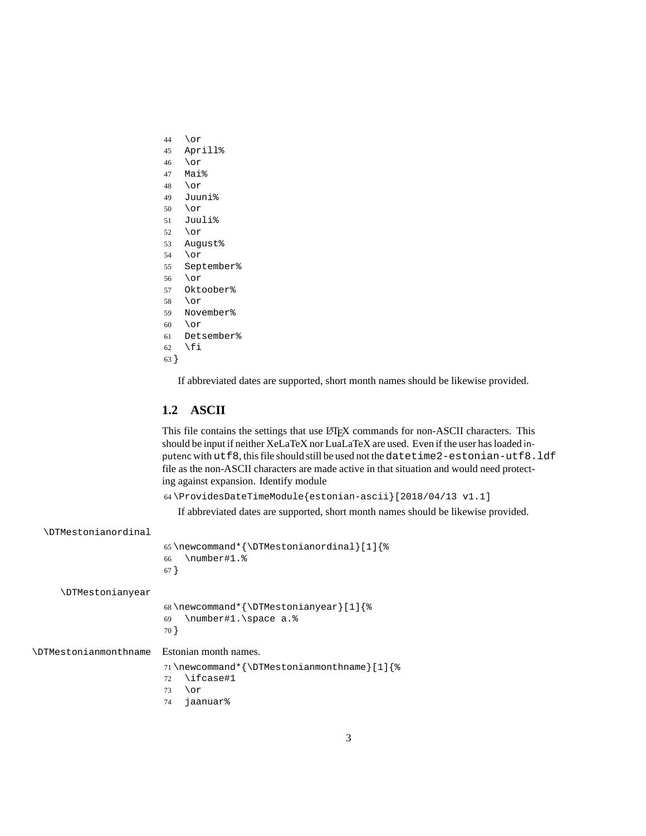- <span id="page-2-0"></span>\or
- Aprill%
- \or
- Mai%
- \or
- Juuni%
- \or
- Juuli%
- \or August%
- \or
- September%
- \or
- Oktoober%
- \or
- November%
- $60 \overline{\wedge} 0$ r
- Detsember%
- 62  $\forall$ fi
- }

If abbreviated dates are supported, short month names should be likewise provided.

#### **1.2 ASCII**

This file contains the settings that use LATEX commands for non-ASCII characters. This should be input if neither XeLaTeX nor LuaLaTeX are used. Even if the user has loaded inputenc with utf8, this file should still be used not the datetime2-estonian-utf8.ldf file as the non-ASCII characters are made active in that situation and would need protecting against expansion. Identify module

```
64 \ProvidesDateTimeModule{estonian-ascii}[2018/04/13 v1.1]
```
If abbreviated dates are supported, short month names should be likewise provided.

| \DTMestonianordinal          |                                                                                              |  |
|------------------------------|----------------------------------------------------------------------------------------------|--|
|                              | 65\newcommand*{\DTMestonianordinal}[1]{%<br>\number#1.%<br>66<br>$67$ }                      |  |
| <b>\DTMestonianyear</b>      |                                                                                              |  |
|                              | 68\newcommand*{\DTMestonianyear}[1]{%<br>\number#1.\space a.%<br>69<br>70 }                  |  |
| <b>\DTMestonianmonthname</b> | Estonian month names.                                                                        |  |
|                              | 71\newcommand*{\DTMestonianmonthname}[1]{%<br>\ifcase#1<br>72<br>\or<br>73<br>jaanuar%<br>74 |  |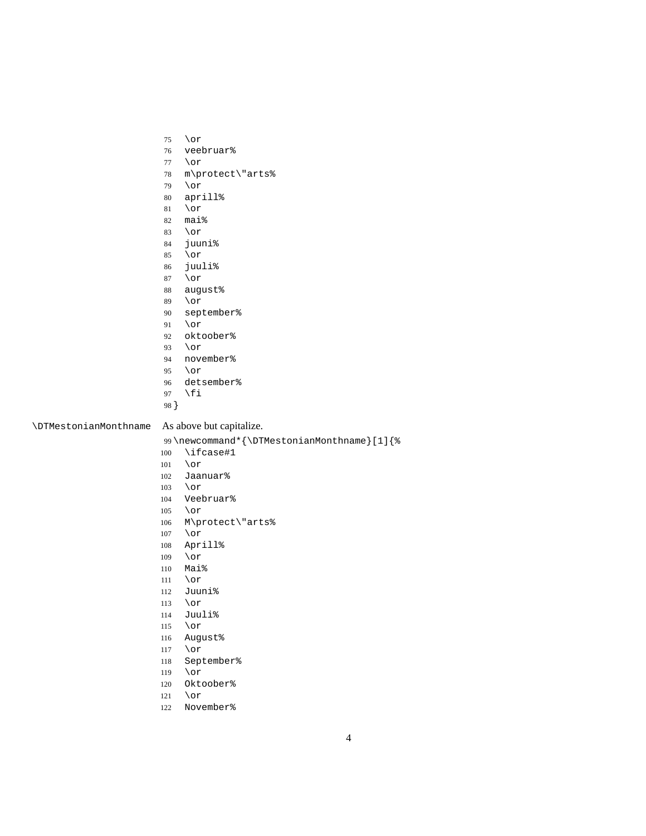<span id="page-3-0"></span>

|                              | 75         | \or                                        |
|------------------------------|------------|--------------------------------------------|
|                              | 76         | veebruar%                                  |
|                              | 77         | \or                                        |
|                              | 78         | m\protect\"arts%                           |
|                              | 79         | \or                                        |
|                              | $80\,$     | aprill%                                    |
|                              | 81         | \or                                        |
|                              | 82         | mai%                                       |
|                              | 83         | $\lor$ or                                  |
|                              | 84         | juuni%                                     |
|                              | 85         | $\lor$ or                                  |
|                              | 86         | juuli%                                     |
|                              | 87         | $\lor$ or                                  |
|                              | 88         | august%                                    |
|                              | 89         | \or                                        |
|                              | 90         | september%                                 |
|                              | 91         | \or                                        |
|                              | 92         | oktoober%                                  |
|                              | 93         | \or                                        |
|                              | 94         | november%                                  |
|                              | 95         | \or                                        |
|                              | 96         | detsember%                                 |
|                              | $97\,$     | \fi                                        |
|                              | 98 }       |                                            |
| <b>\DTMestonianMonthname</b> |            | As above but capitalize.                   |
|                              |            | 99\newcommand*{\DTMestonianMonthname}[1]{% |
|                              |            |                                            |
|                              |            |                                            |
|                              | 100        | \ifcase#1                                  |
|                              | 101        | \or                                        |
|                              | 102        | Jaanuar%                                   |
|                              | 103        | \or                                        |
|                              | 104        | Veebruar%                                  |
|                              | 105        | \or                                        |
|                              | 106        | M\protect\"arts%                           |
|                              | 107        | \or                                        |
|                              | 108        | Aprill%                                    |
|                              | 109        | $\lor$ or                                  |
|                              | 110        | Mai%                                       |
|                              | $111\,$    | $\lor$ or                                  |
|                              | 112        | Juuni%                                     |
|                              | 113        | $\lor$ or                                  |
|                              | 114        | Juuli%                                     |
|                              | 115        | $\lor$ or                                  |
|                              | 116        | August%                                    |
|                              | $117\,$    | $\lor$ or                                  |
|                              | $118\,$    | September%                                 |
|                              | 119        | $\lor$ or                                  |
|                              | 120        | Oktoober%                                  |
|                              | 121<br>122 | $\lor$ or<br>November%                     |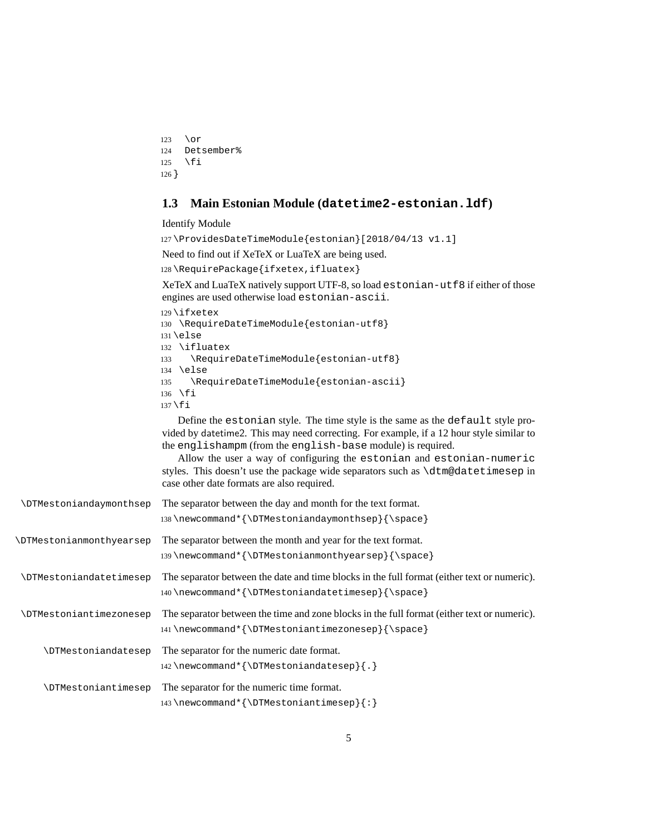```
123 \or
124 Detsember%
125 \fi
126 }
```
#### **1.3 Main Estonian Module (datetime2-estonian.ldf)**

Identify Module

127 \ProvidesDateTimeModule{estonian}[2018/04/13 v1.1]

Need to find out if XeTeX or LuaTeX are being used.

128 \RequirePackage{ifxetex,ifluatex}

XeTeX and LuaTeX natively support UTF-8, so load estonian-utf8 if either of those engines are used otherwise load estonian-ascii.

```
129 \ifxetex
130 \RequireDateTimeModule{estonian-utf8}
131 \else
132 \ifluatex
133 \RequireDateTimeModule{estonian-utf8}
134 \else
135 \RequireDateTimeModule{estonian-ascii}
136 \fi
137 \fi
```
Define the estonian style. The time style is the same as the default style provided by datetime2. This may need correcting. For example, if a 12 hour style similar to the englishampm (from the english-base module) is required.

Allow the user a way of configuring the estonian and estonian-numeric styles. This doesn't use the package wide separators such as \dtm@datetimesep in case other date formats are also required.

| <b>\DTMestoniandaymonthsep</b>  | The separator between the day and month for the text format.<br>138\newcommand*{\DTMestoniandaymonthsep}{\space}                                |
|---------------------------------|-------------------------------------------------------------------------------------------------------------------------------------------------|
| <b>\DTMestonianmonthyearsep</b> | The separator between the month and year for the text format.<br>139\newcommand*{\DTMestonianmonthyearsep}{\space}                              |
| <b>\DTMestoniandatetimesep</b>  | The separator between the date and time blocks in the full format (either text or numeric).<br>140\newcommand*{\DTMestoniandatetimesep}{\space} |
| <b>\DTMestoniantimezonesep</b>  | The separator between the time and zone blocks in the full format (either text or numeric).<br>141\newcommand*{\DTMestoniantimezonesep}{\space} |
| <b>\DTMestoniandatesep</b>      | The separator for the numeric date format.<br>142\newcommand*{\DTMestoniandatesep}{.}                                                           |
| <b>\DTMestoniantimesep</b>      | The separator for the numeric time format.<br>143\newcommand*{\DTMestoniantimesep}{:}                                                           |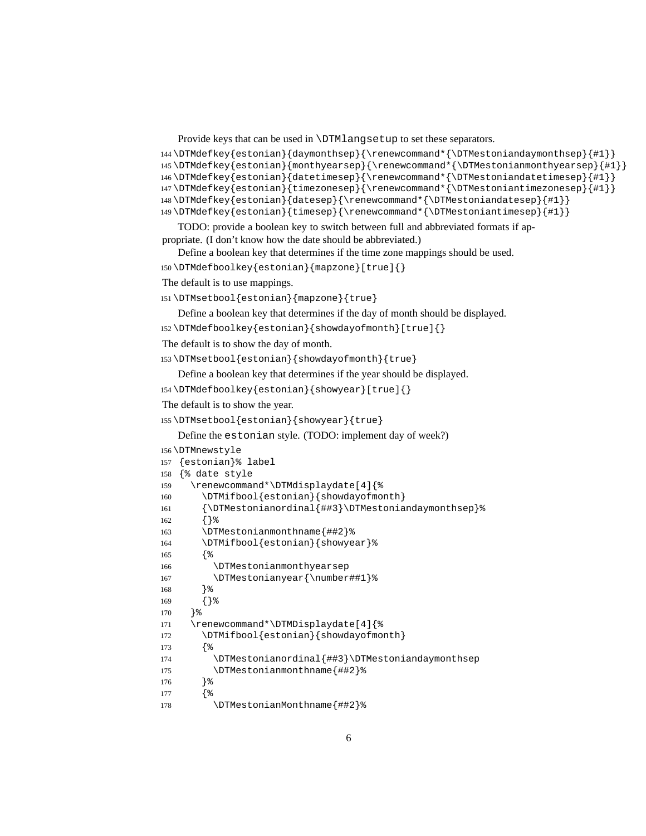Provide keys that can be used in \DTMlangsetup to set these separators.

```
144 \DTMdefkey{estonian}{daymonthsep}{\renewcommand*{\DTMestoniandaymonthsep}{#1}}
```

```
145 \DTMdefkey{estonian}{monthyearsep}{\renewcommand*{\DTMestonianmonthyearsep}{#1}}
```

```
146 \DTMdefkey{estonian}{datetimesep}{\renewcommand*{\DTMestoniandatetimesep}{#1}}
147 \DTMdefkey{estonian}{timezonesep}{\renewcommand*{\DTMestoniantimezonesep}{#1}}
```

```
148 \DTMdefkey{estonian}{datesep}{\renewcommand*{\DTMestoniandatesep}{#1}}
```
\DTMdefkey{estonian}{timesep}{\renewcommand\*{\DTMestoniantimesep}{#1}}

TODO: provide a boolean key to switch between full and abbreviated formats if appropriate. (I don't know how the date should be abbreviated.)

Define a boolean key that determines if the time zone mappings should be used.

```
150 \DTMdefboolkey{estonian}{mapzone}[true]{}
```

```
The default is to use mappings.
```

```
151 \DTMsetbool{estonian}{mapzone}{true}
```
Define a boolean key that determines if the day of month should be displayed.

\DTMdefboolkey{estonian}{showdayofmonth}[true]{}

The default is to show the day of month.

```
153 \DTMsetbool{estonian}{showdayofmonth}{true}
```
Define a boolean key that determines if the year should be displayed.

```
154 \DTMdefboolkey{estonian}{showyear}[true]{}
```

```
The default is to show the year.
```

```
155 \DTMsetbool{estonian}{showyear}{true}
```
Define the estonian style. (TODO: implement day of week?)

```
156 \DTMnewstyle
157 {estonian}% label
158 {% date style
159 \renewcommand*\DTMdisplaydate[4]{%
160 \DTMifbool{estonian}{showdayofmonth}
161 {\DTMestonianordinal{##3}\DTMestoniandaymonthsep}%
162 {}%
163 \DTMestonianmonthname{##2}%
164 \DTMifbool{estonian}{showyear}%
165 {%
166 \DTMestonianmonthyearsep
167 \DTMestonianyear{\number##1}%
168 }%
169 {}%
170 }%
171 \renewcommand*\DTMDisplaydate[4]{%
172 \DTMifbool{estonian}{showdayofmonth}
173 {%
174 \DTMestonianordinal{##3}\DTMestoniandaymonthsep
175 \DTMestonianmonthname{##2}%
176 }%
177 {%
178 \DTMestonianMonthname{##2}%
```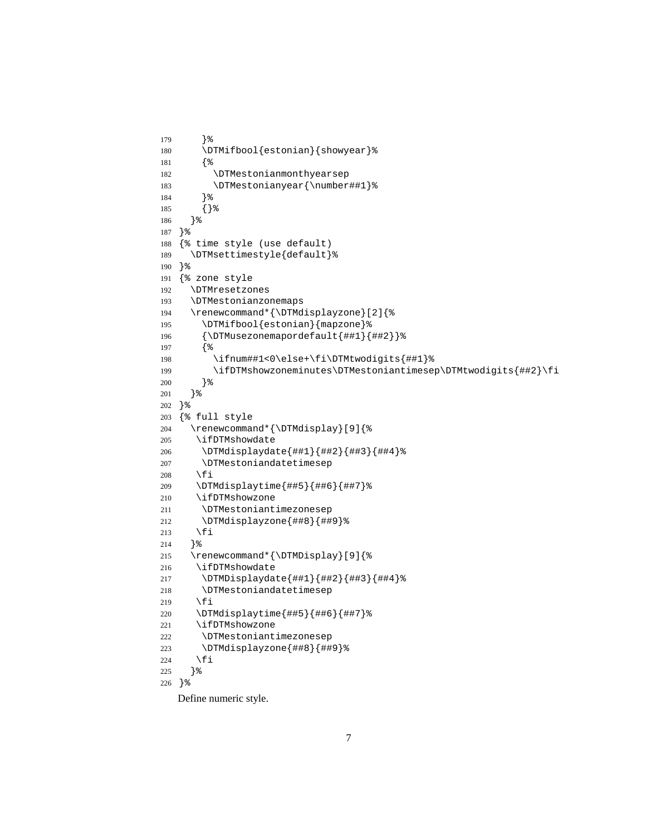```
179 }%
180 \DTMifbool{estonian}{showyear}%
181 {%
182 \DTMestonianmonthyearsep
183 \DTMestonianyear{\number##1}%
184 }%
185 {}%
186 }%
187 }%
188 {% time style (use default)
189 \DTMsettimestyle{default}%
190 }%
191 {% zone style
192 \DTMresetzones
193 \DTMestonianzonemaps
194 \renewcommand*{\DTMdisplayzone}[2]{%
195 \DTMifbool{estonian}{mapzone}%
196 {\DTMusezonemapordefault{##1}{##2}}%
197 {%
198 \ifnum##1<0\else+\fi\DTMtwodigits{##1}%
199 \ifDTMshowzoneminutes\DTMestoniantimesep\DTMtwodigits{##2}\fi
200 }%
201 }%
202 }%
203 {% full style
204 \renewcommand*{\DTMdisplay}[9]{%
205 \ifDTMshowdate
206 \DTMdisplaydate{##1}{##2}{##3}{##4}%
207 \DTMestoniandatetimesep
208 \fi
209 \DTMdisplaytime{##5}{##6}{##7}%
210 \ifDTMshowzone
211 \DTMestoniantimezonesep
212 \DTMdisplayzone{##8}{##9}%
213 \fi
214 }%
215 \renewcommand*{\DTMDisplay}[9]{%
216 \ifDTMshowdate
217 \DTMDisplaydate{##1}{##2}{##3}{##4}%
218 \DTMestoniandatetimesep
219 \fi
220 \DTMdisplaytime{##5}{##6}{##7}%
221 \ifDTMshowzone
222 \DTMestoniantimezonesep
223 \DTMdisplayzone{##8}{##9}%
224 \fi
225 }%
226 }%
```
Define numeric style.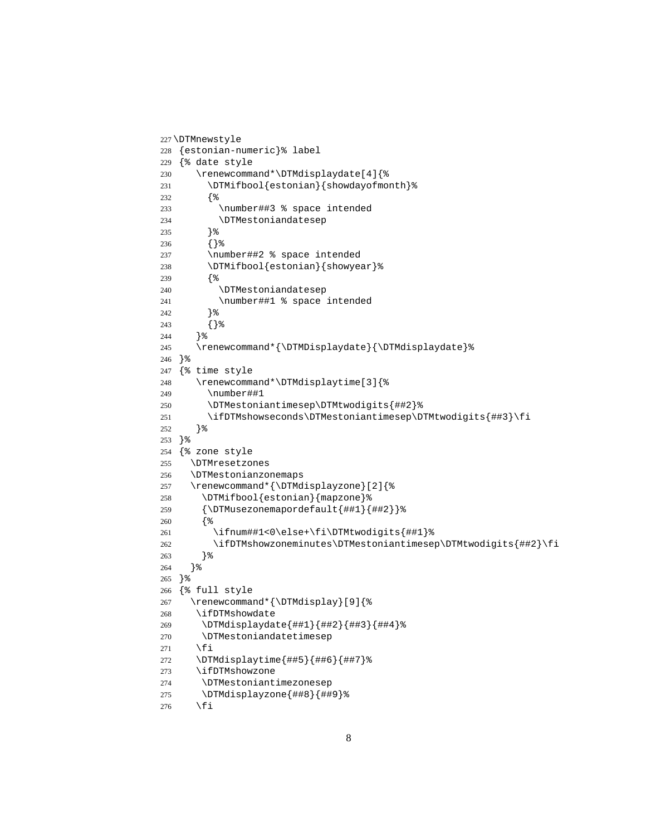```
227 \DTMnewstyle
228 {estonian-numeric}% label
229 {% date style
230 \renewcommand*\DTMdisplaydate[4]{%
231 \DTMifbool{estonian}{showdayofmonth}%
232 {%
233 \number##3 % space intended
234 \DTMestoniandatesep
235 }%
236 {}%
237 \number##2 % space intended
238 \DTMifbool{estonian}{showyear}%
239 {%
240 \DTMestoniandatesep
241 \number##1 % space intended
242 }%
243 {}%
244 }%
245 \renewcommand*{\DTMDisplaydate}{\DTMdisplaydate}%
246 }%
247 {% time style
248 \renewcommand*\DTMdisplaytime[3]{%
249 \number##1
250 \DTMestoniantimesep\DTMtwodigits{##2}%
251 \ifDTMshowseconds\DTMestoniantimesep\DTMtwodigits{##3}\fi
252 }%
253 }%
254 {% zone style
255 \DTMresetzones
256 \DTMestonianzonemaps
257 \renewcommand*{\DTMdisplayzone}[2]{%
258 \DTMifbool{estonian}{mapzone}%
259 {\DTMusezonemapordefault{##1}{##2}}%
260 {%
261 \ifnum##1<0\else+\fi\DTMtwodigits{##1}%
262 \ifDTMshowzoneminutes\DTMestoniantimesep\DTMtwodigits{##2}\fi
263 }%
264 }%
265 }%
266 {% full style
267 \renewcommand*{\DTMdisplay}[9]{%
268 \ifDTMshowdate
269 \DTMdisplaydate{##1}{##2}{##3}{##4}%
270 \DTMestoniandatetimesep
271 \fi
272 \DTMdisplaytime{##5}{##6}{##7}%
273 \ifDTMshowzone
274 \DTMestoniantimezonesep
275 \DTMdisplayzone{##8}{##9}%
276 \fi
```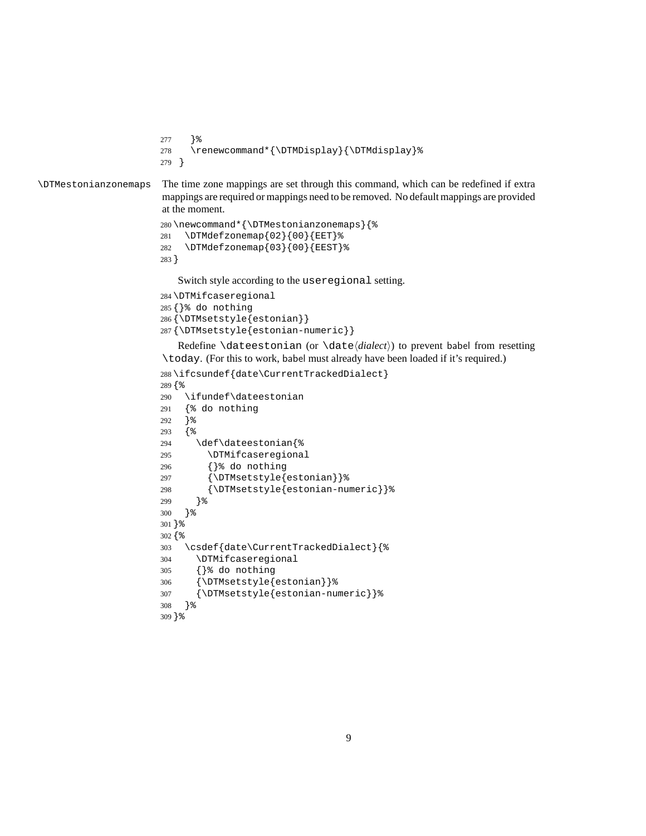```
277 }%
                       278 \renewcommand*{\DTMDisplay}{\DTMdisplay}%
                       279 }
\DTMestonianzonemaps The time zone mappings are set through this command, which can be redefined if extra
                       mappings are required or mappings need to be removed. No default mappings are provided
                       at the moment.
                       280 \newcommand*{\DTMestonianzonemaps}{%
                       281 \DTMdefzonemap{02}{00}{EET}%
                       282 \DTMdefzonemap{03}{00}{EEST}%
                       283 }
                          Switch style according to the useregional setting.
                       284 \DTMifcaseregional
                       285 {}% do nothing
                       286 {\DTMsetstyle{estonian}}
                       287 {\DTMsetstyle{estonian-numeric}}
                          Redefine \dateestonian (or \date⟨dialect⟩) to prevent babel from resetting
                       \today. (For this to work, babel must already have been loaded if it's required.)
                       288 \ifcsundef{date\CurrentTrackedDialect}
                       289 {%
                       290 \ifundef\dateestonian
                       291 {% do nothing
                       292 }%
                       293 {%
                       294 \def\dateestonian{%
                       295 \DTMifcaseregional
                       296 {}% do nothing
                       297 {\DTMsetstyle{estonian}}%
                       298 {\DTMsetstyle{estonian-numeric}}%
                       299 }%
                       300 }%
                       301 }%
                       302 {%
                       303 \csdef{date\CurrentTrackedDialect}{%
                       304 \DTMifcaseregional
                       305 {}% do nothing
                       306 {\DTMsetstyle{estonian}}%
```
{\DTMsetstyle{estonian-numeric}}%

 }% }%